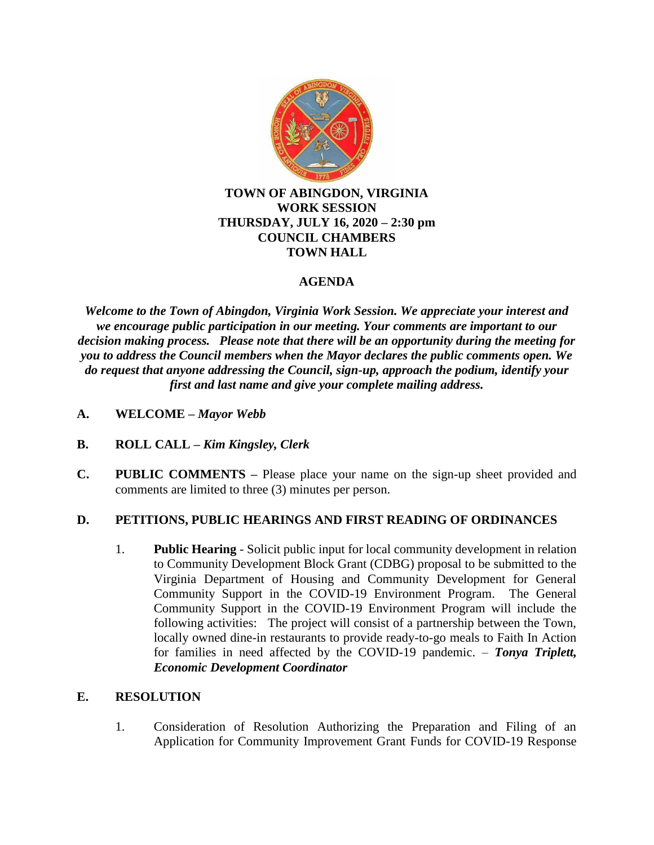

#### **TOWN OF ABINGDON, VIRGINIA WORK SESSION THURSDAY, JULY 16, 2020 – 2:30 pm COUNCIL CHAMBERS TOWN HALL**

### **AGENDA**

*Welcome to the Town of Abingdon, Virginia Work Session. We appreciate your interest and we encourage public participation in our meeting. Your comments are important to our decision making process. Please note that there will be an opportunity during the meeting for you to address the Council members when the Mayor declares the public comments open. We do request that anyone addressing the Council, sign-up, approach the podium, identify your first and last name and give your complete mailing address.*

- **A. WELCOME –** *Mayor Webb*
- **B. ROLL CALL –** *Kim Kingsley, Clerk*
- **C. PUBLIC COMMENTS –** Please place your name on the sign-up sheet provided and comments are limited to three (3) minutes per person.

#### **D. PETITIONS, PUBLIC HEARINGS AND FIRST READING OF ORDINANCES**

1. **Public Hearing** - Solicit public input for local community development in relation to Community Development Block Grant (CDBG) proposal to be submitted to the Virginia Department of Housing and Community Development for General Community Support in the COVID-19 Environment Program. The General Community Support in the COVID-19 Environment Program will include the following activities: The project will consist of a partnership between the Town, locally owned dine-in restaurants to provide ready-to-go meals to Faith In Action for families in need affected by the COVID-19 pandemic. – *Tonya Triplett, Economic Development Coordinator*

#### **E. RESOLUTION**

1. Consideration of Resolution Authorizing the Preparation and Filing of an Application for Community Improvement Grant Funds for COVID-19 Response